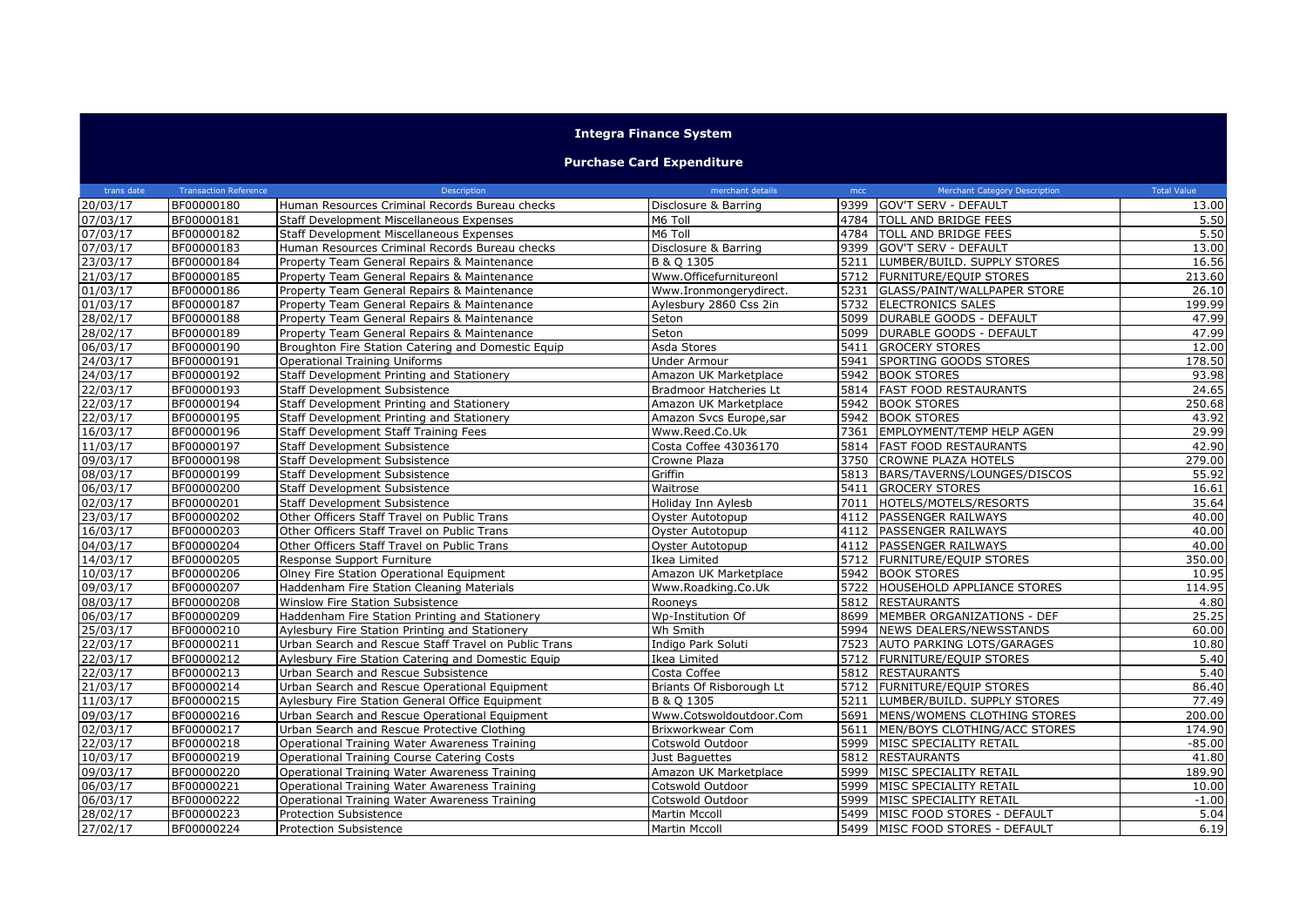## **Integra Finance System**

## **Purchase Card Expenditure**

| trans date | <b>Transaction Reference</b> | Description                                          | merchant details         | mcc  | <b>Merchant Category Description</b> | <b>Total Value</b> |
|------------|------------------------------|------------------------------------------------------|--------------------------|------|--------------------------------------|--------------------|
| 20/03/17   | BF00000180                   | Human Resources Criminal Records Bureau checks       | Disclosure & Barring     |      | 9399 GOV'T SERV - DEFAULT            | 13.00              |
| 07/03/17   | BF00000181                   | Staff Development Miscellaneous Expenses             | M6 Toll                  |      | 4784 TOLL AND BRIDGE FEES            | 5.50               |
| 07/03/17   | BF00000182                   | Staff Development Miscellaneous Expenses             | M6 Toll                  |      | 4784 TOLL AND BRIDGE FEES            | 5.50               |
| 07/03/17   | BF00000183                   | Human Resources Criminal Records Bureau checks       | Disclosure & Barring     |      | 9399 GOV'T SERV - DEFAULT            | 13.00              |
| 23/03/17   | BF00000184                   | Property Team General Repairs & Maintenance          | B & O 1305               |      | 5211 LUMBER/BUILD. SUPPLY STORES     | 16.56              |
| 21/03/17   | BF00000185                   | Property Team General Repairs & Maintenance          | Www.Officefurnitureonl   |      | 5712 FURNITURE/EQUIP STORES          | 213.60             |
| 01/03/17   | BF00000186                   | Property Team General Repairs & Maintenance          | Www.Ironmongerydirect.   | 5231 | <b>GLASS/PAINT/WALLPAPER STORE</b>   | 26.10              |
| 01/03/17   | BF00000187                   | Property Team General Repairs & Maintenance          | Aylesbury 2860 Css 2in   |      | 5732 ELECTRONICS SALES               | 199.99             |
| 28/02/17   | BF00000188                   | Property Team General Repairs & Maintenance          | Seton                    |      | 5099   DURABLE GOODS - DEFAULT       | 47.99              |
| 28/02/17   | BF00000189                   | Property Team General Repairs & Maintenance          | Seton                    | 5099 | <b>DURABLE GOODS - DEFAULT</b>       | 47.99              |
| 06/03/17   | BF00000190                   | Broughton Fire Station Catering and Domestic Equip   | Asda Stores              | 5411 | <b>GROCERY STORES</b>                | 12.00              |
| 24/03/17   | BF00000191                   | Operational Training Uniforms                        | <b>Under Armour</b>      | 5941 | <b>SPORTING GOODS STORES</b>         | 178.50             |
| 24/03/17   | BF00000192                   | Staff Development Printing and Stationery            | Amazon UK Marketplace    | 5942 | <b>BOOK STORES</b>                   | 93.98              |
| 22/03/17   | BF00000193                   | <b>Staff Development Subsistence</b>                 | Bradmoor Hatcheries Lt   |      | 5814 FAST FOOD RESTAURANTS           | 24.65              |
| 22/03/17   | BF00000194                   | Staff Development Printing and Stationery            | Amazon UK Marketplace    | 5942 | <b>BOOK STORES</b>                   | 250.68             |
| 22/03/17   | BF00000195                   | Staff Development Printing and Stationery            | Amazon Svcs Europe, sar  |      | 5942 BOOK STORES                     | 43.92              |
| 16/03/17   | BF00000196                   | Staff Development Staff Training Fees                | Www.Reed.Co.Uk           | 7361 | <b>EMPLOYMENT/TEMP HELP AGEN</b>     | 29.99              |
| 11/03/17   | BF00000197                   | Staff Development Subsistence                        | Costa Coffee 43036170    | 5814 | <b>FAST FOOD RESTAURANTS</b>         | 42.90              |
| 09/03/17   | BF00000198                   | <b>Staff Development Subsistence</b>                 | Crowne Plaza             | 3750 | <b>CROWNE PLAZA HOTELS</b>           | 279.00             |
| 08/03/17   | BF00000199                   | <b>Staff Development Subsistence</b>                 | Griffin                  |      | 5813 BARS/TAVERNS/LOUNGES/DISCOS     | 55.92              |
| 06/03/17   | BF00000200                   | Staff Development Subsistence                        | Waitrose                 | 5411 | <b>GROCERY STORES</b>                | 16.61              |
| 02/03/17   | BF00000201                   | <b>Staff Development Subsistence</b>                 | Holiday Inn Aylesb       | 7011 | HOTELS/MOTELS/RESORTS                | 35.64              |
| 23/03/17   | BF00000202                   | Other Officers Staff Travel on Public Trans          | Oyster Autotopup         |      | 4112 PASSENGER RAILWAYS              | 40.00              |
| 16/03/17   | BF00000203                   | Other Officers Staff Travel on Public Trans          | Oyster Autotopup         |      | 4112 PASSENGER RAILWAYS              | 40.00              |
| 04/03/17   | BF00000204                   | Other Officers Staff Travel on Public Trans          | Oyster Autotopup         | 4112 | PASSENGER RAILWAYS                   | 40.00              |
| 14/03/17   | BF00000205                   | Response Support Furniture                           | Ikea Limited             | 5712 | <b>FURNITURE/EQUIP STORES</b>        | 350.00             |
| 10/03/17   | BF00000206                   | Olney Fire Station Operational Equipment             | Amazon UK Marketplace    |      | 5942 BOOK STORES                     | 10.95              |
| 09/03/17   | BF00000207                   | Haddenham Fire Station Cleaning Materials            | Www.Roadking.Co.Uk       |      | 5722 HOUSEHOLD APPLIANCE STORES      | 114.95             |
| 08/03/17   | BF00000208                   | Winslow Fire Station Subsistence                     | Rooneys                  | 5812 | <b>RESTAURANTS</b>                   | 4.80               |
| 06/03/17   | BF00000209                   | Haddenham Fire Station Printing and Stationery       | Wp-Institution Of        |      | 8699 MEMBER ORGANIZATIONS - DEF      | 25.25              |
| 25/03/17   | BF00000210                   | Aylesbury Fire Station Printing and Stationery       | Wh Smith                 |      | 5994 NEWS DEALERS/NEWSSTANDS         | 60.00              |
| 22/03/17   | BF00000211                   | Urban Search and Rescue Staff Travel on Public Trans | Indigo Park Soluti       |      | 7523 AUTO PARKING LOTS/GARAGES       | 10.80              |
| 22/03/17   | BF00000212                   | Aylesbury Fire Station Catering and Domestic Equip   | Ikea Limited             | 5712 | FURNITURE/EQUIP STORES               | 5.40               |
| 22/03/17   | BF00000213                   | Urban Search and Rescue Subsistence                  | Costa Coffee             | 5812 | <b>RESTAURANTS</b>                   | 5.40               |
| 21/03/17   | BF00000214                   | Urban Search and Rescue Operational Equipment        | Briants Of Risborough Lt | 5712 | <b>FURNITURE/EQUIP STORES</b>        | 86.40              |
| 11/03/17   | BF00000215                   | Aylesbury Fire Station General Office Equipment      | B & Q 1305               | 5211 | LUMBER/BUILD. SUPPLY STORES          | 77.49              |
| 09/03/17   | BF00000216                   | Urban Search and Rescue Operational Equipment        | Www.Cotswoldoutdoor.Com  | 5691 | MENS/WOMENS CLOTHING STORES          | 200.00             |
| 02/03/17   | BF00000217                   | Urban Search and Rescue Protective Clothing          | Brixworkwear Com         | 5611 | MEN/BOYS CLOTHING/ACC STORES         | 174.90             |
| 22/03/17   | BF00000218                   | Operational Training Water Awareness Training        | Cotswold Outdoor         |      | 5999 MISC SPECIALITY RETAIL          | $-85.00$           |
| 10/03/17   | BF00000219                   | Operational Training Course Catering Costs           | Just Baquettes           | 5812 | <b>RESTAURANTS</b>                   | 41.80              |
| 09/03/17   | BF00000220                   | Operational Training Water Awareness Training        | Amazon UK Marketplace    | 5999 | MISC SPECIALITY RETAIL               | 189.90             |
| 06/03/17   | BF00000221                   | Operational Training Water Awareness Training        | Cotswold Outdoor         | 5999 | MISC SPECIALITY RETAIL               | 10.00              |
| 06/03/17   | BF00000222                   | Operational Training Water Awareness Training        | Cotswold Outdoor         | 5999 | MISC SPECIALITY RETAIL               | $-1.00$            |
| 28/02/17   | BF00000223                   | <b>Protection Subsistence</b>                        | <b>Martin Mccoll</b>     | 5499 | MISC FOOD STORES - DEFAULT           | 5.04               |
| 27/02/17   | BF00000224                   | <b>Protection Subsistence</b>                        | <b>Martin Mccoll</b>     |      | 5499 MISC FOOD STORES - DEFAULT      | 6.19               |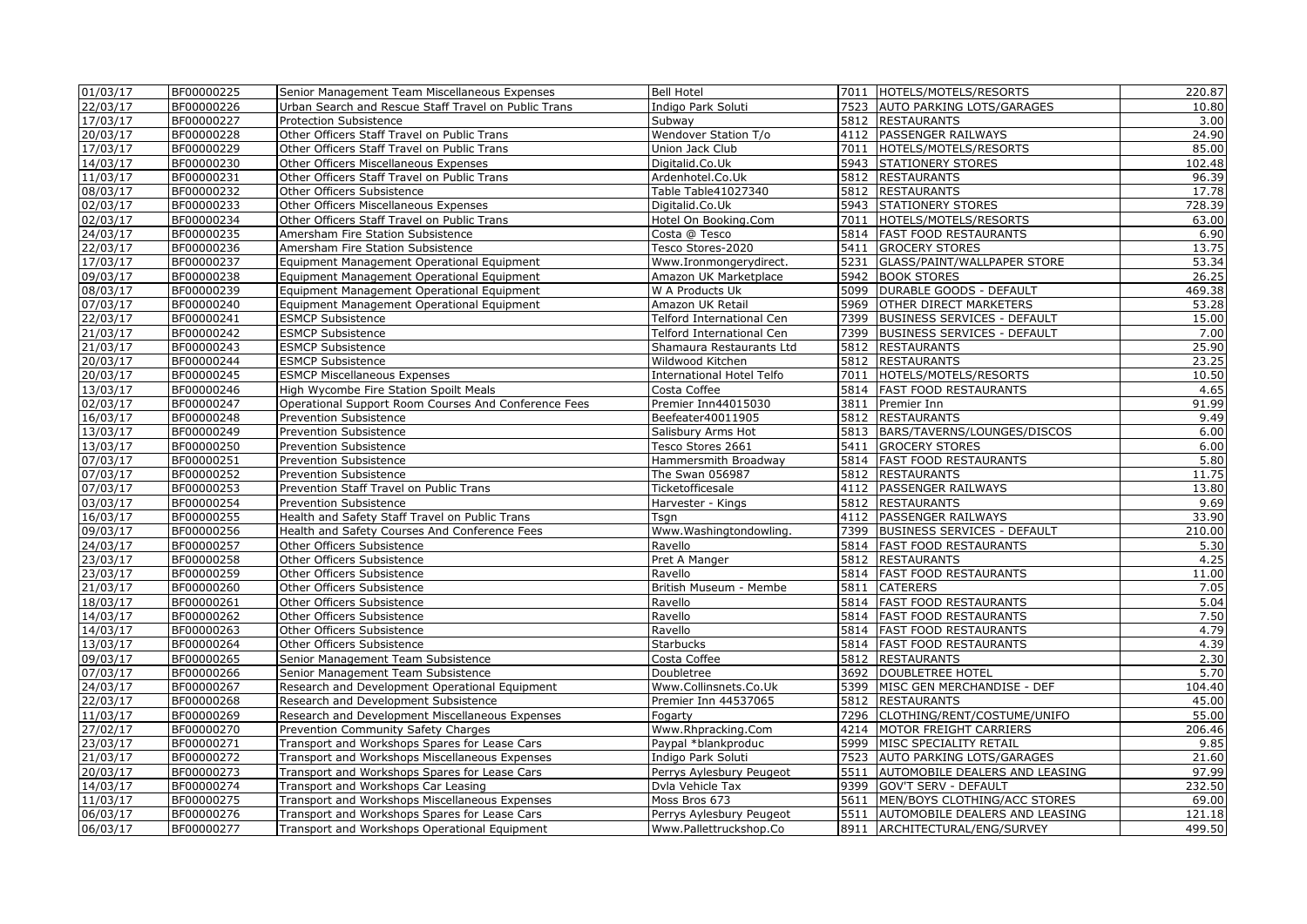| 01/03/17 | BF00000225 | Senior Management Team Miscellaneous Expenses        | <b>Bell Hotel</b>                |      | 7011   HOTELS/MOTELS/RESORTS        | 220.87 |
|----------|------------|------------------------------------------------------|----------------------------------|------|-------------------------------------|--------|
| 22/03/17 | BF00000226 | Urban Search and Rescue Staff Travel on Public Trans | Indigo Park Soluti               |      | 7523 AUTO PARKING LOTS/GARAGES      | 10.80  |
| 17/03/17 | BF00000227 | Protection Subsistence                               | Subway                           |      | 5812 RESTAURANTS                    | 3.00   |
| 20/03/17 | BF00000228 | Other Officers Staff Travel on Public Trans          | <b>Wendover Station T/o</b>      |      | 4112 PASSENGER RAILWAYS             | 24.90  |
| 17/03/17 | BF00000229 | Other Officers Staff Travel on Public Trans          | Union Jack Club                  |      | 7011 HOTELS/MOTELS/RESORTS          | 85.00  |
| 14/03/17 | BF00000230 | Other Officers Miscellaneous Expenses                | Digitalid.Co.Uk                  | 5943 | <b>STATIONERY STORES</b>            | 102.48 |
| 11/03/17 | BF00000231 | Other Officers Staff Travel on Public Trans          | Ardenhotel.Co.Uk                 |      | 5812 RESTAURANTS                    | 96.39  |
| 08/03/17 | BF00000232 | Other Officers Subsistence                           | Table Table41027340              |      | 5812 RESTAURANTS                    | 17.78  |
| 02/03/17 | BF00000233 | Other Officers Miscellaneous Expenses                | Digitalid.Co.Uk                  |      | 5943 STATIONERY STORES              | 728.39 |
| 02/03/17 | BF00000234 | Other Officers Staff Travel on Public Trans          | Hotel On Booking.Com             | 7011 | HOTELS/MOTELS/RESORTS               | 63.00  |
| 24/03/17 | BF00000235 | Amersham Fire Station Subsistence                    | Costa @ Tesco                    |      | 5814   FAST FOOD RESTAURANTS        | 6.90   |
| 22/03/17 | BF00000236 | Amersham Fire Station Subsistence                    | Tesco Stores-2020                | 5411 | <b>GROCERY STORES</b>               | 13.75  |
| 17/03/17 | BF00000237 | Equipment Management Operational Equipment           | Www.Ironmongerydirect.           | 5231 | GLASS/PAINT/WALLPAPER STORE         | 53.34  |
| 09/03/17 | BF00000238 | Equipment Management Operational Equipment           | Amazon UK Marketplace            |      | 5942 BOOK STORES                    | 26.25  |
| 08/03/17 | BF00000239 | Equipment Management Operational Equipment           | W A Products Uk                  |      | 5099   DURABLE GOODS - DEFAULT      | 469.38 |
| 07/03/17 | BF00000240 | Equipment Management Operational Equipment           | Amazon UK Retail                 |      | 5969 OTHER DIRECT MARKETERS         | 53.28  |
| 22/03/17 | BF00000241 | <b>ESMCP Subsistence</b>                             | Telford International Cen        | 7399 | <b>BUSINESS SERVICES - DEFAULT</b>  | 15.00  |
| 21/03/17 | BF00000242 | <b>ESMCP Subsistence</b>                             | Telford International Cen        |      | 7399 BUSINESS SERVICES - DEFAULT    | 7.00   |
| 21/03/17 | BF00000243 | <b>ESMCP Subsistence</b>                             | Shamaura Restaurants Ltd         |      | 5812 RESTAURANTS                    | 25.90  |
| 20/03/17 | BF00000244 | <b>ESMCP Subsistence</b>                             | Wildwood Kitchen                 |      | 5812 RESTAURANTS                    | 23.25  |
| 20/03/17 | BF00000245 | <b>ESMCP Miscellaneous Expenses</b>                  | <b>International Hotel Telfo</b> |      | 7011  HOTELS/MOTELS/RESORTS         | 10.50  |
| 13/03/17 | BF00000246 | High Wycombe Fire Station Spoilt Meals               | Costa Coffee                     |      | 5814   FAST FOOD RESTAURANTS        | 4.65   |
| 02/03/17 | BF00000247 | Operational Support Room Courses And Conference Fees | Premier Inn44015030              |      | 3811 Premier Inn                    | 91.99  |
| 16/03/17 | BF00000248 | <b>Prevention Subsistence</b>                        | Beefeater40011905                |      | 5812 RESTAURANTS                    | 9.49   |
| 13/03/17 | BF00000249 | <b>Prevention Subsistence</b>                        | Salisbury Arms Hot               |      | 5813   BARS/TAVERNS/LOUNGES/DISCOS  | 6.00   |
| 13/03/17 | BF00000250 | Prevention Subsistence                               | Tesco Stores 2661                |      | 5411 GROCERY STORES                 | 6.00   |
| 07/03/17 | BF00000251 | Prevention Subsistence                               | Hammersmith Broadway             |      | 5814   FAST FOOD RESTAURANTS        | 5.80   |
| 07/03/17 | BF00000252 | <b>Prevention Subsistence</b>                        | The Swan 056987                  |      | 5812 RESTAURANTS                    | 11.75  |
| 07/03/17 | BF00000253 | Prevention Staff Travel on Public Trans              | Ticketofficesale                 |      | 4112 PASSENGER RAILWAYS             | 13.80  |
| 03/03/17 | BF00000254 | Prevention Subsistence                               | Harvester - Kings                |      | 5812 RESTAURANTS                    | 9.69   |
| 16/03/17 | BF00000255 | Health and Safety Staff Travel on Public Trans       | Tsgn                             |      | 4112 PASSENGER RAILWAYS             | 33.90  |
| 09/03/17 | BF00000256 | Health and Safety Courses And Conference Fees        | Www.Washingtondowling.           |      | 7399 BUSINESS SERVICES - DEFAULT    | 210.00 |
| 24/03/17 | BF00000257 | Other Officers Subsistence                           | Ravello                          |      | 5814   FAST FOOD RESTAURANTS        | 5.30   |
| 23/03/17 | BF00000258 | Other Officers Subsistence                           | Pret A Manger                    | 5812 | <b>RESTAURANTS</b>                  | 4.25   |
| 23/03/17 | BF00000259 | Other Officers Subsistence                           | Ravello                          |      | 5814   FAST FOOD RESTAURANTS        | 11.00  |
| 21/03/17 | BF00000260 | Other Officers Subsistence                           | British Museum - Membe           |      | 5811 CATERERS                       | 7.05   |
| 18/03/17 | BF00000261 | Other Officers Subsistence                           | Ravello                          |      | 5814   FAST FOOD RESTAURANTS        | 5.04   |
| 14/03/17 | BF00000262 | Other Officers Subsistence                           | Ravello                          |      | 5814   FAST FOOD RESTAURANTS        | 7.50   |
| 14/03/17 | BF00000263 | Other Officers Subsistence                           | Ravello                          |      | 5814 FAST FOOD RESTAURANTS          | 4.79   |
| 13/03/17 | BF00000264 | Other Officers Subsistence                           | <b>Starbucks</b>                 |      | 5814   FAST FOOD RESTAURANTS        | 4.39   |
| 09/03/17 | BF00000265 | Senior Management Team Subsistence                   | Costa Coffee                     |      | 5812 RESTAURANTS                    | 2.30   |
| 07/03/17 | BF00000266 | Senior Management Team Subsistence                   | Doubletree                       |      | 3692 DOUBLETREE HOTEL               | 5.70   |
| 24/03/17 | BF00000267 | Research and Development Operational Equipment       | Www.Collinsnets.Co.Uk            |      | 5399   MISC GEN MERCHANDISE - DEF   | 104.40 |
| 22/03/17 | BF00000268 | Research and Development Subsistence                 | Premier Inn 44537065             | 5812 | <b>RESTAURANTS</b>                  | 45.00  |
| 11/03/17 | BF00000269 | Research and Development Miscellaneous Expenses      | Fogarty                          | 7296 | CLOTHING/RENT/COSTUME/UNIFO         | 55.00  |
| 27/02/17 | BF00000270 | Prevention Community Safety Charges                  | Www.Rhpracking.Com               |      | 4214 MOTOR FREIGHT CARRIERS         | 206.46 |
| 23/03/17 | BF00000271 | Transport and Workshops Spares for Lease Cars        | Paypal *blankproduc              |      | 5999 MISC SPECIALITY RETAIL         | 9.85   |
| 21/03/17 | BF00000272 | Transport and Workshops Miscellaneous Expenses       | Indigo Park Soluti               | 7523 | <b>AUTO PARKING LOTS/GARAGES</b>    | 21.60  |
| 20/03/17 | BF00000273 | Transport and Workshops Spares for Lease Cars        | Perrys Aylesbury Peugeot         |      | 5511 AUTOMOBILE DEALERS AND LEASING | 97.99  |
| 14/03/17 | BF00000274 | Transport and Workshops Car Leasing                  | Dvla Vehicle Tax                 |      | 9399 GOV'T SERV - DEFAULT           | 232.50 |
| 11/03/17 | BF00000275 | Transport and Workshops Miscellaneous Expenses       | Moss Bros 673                    | 5611 | MEN/BOYS CLOTHING/ACC STORES        | 69.00  |
| 06/03/17 | BF00000276 | Transport and Workshops Spares for Lease Cars        | Perrys Aylesbury Peugeot         |      | 5511 AUTOMOBILE DEALERS AND LEASING | 121.18 |
| 06/03/17 | BF00000277 | Transport and Workshops Operational Equipment        | Www.Pallettruckshop.Co           |      | 8911   ARCHITECTURAL/ENG/SURVEY     | 499.50 |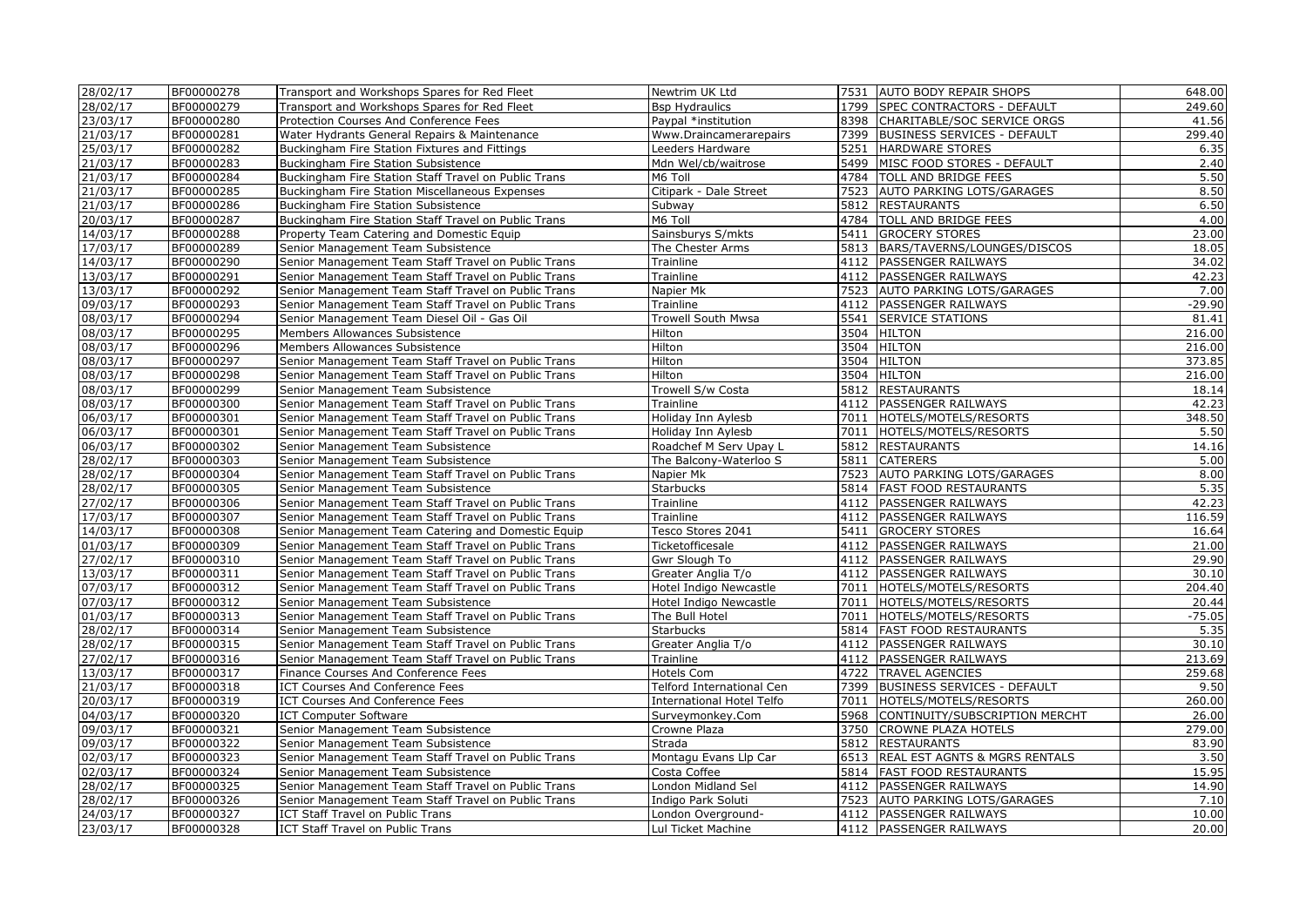| 28/02/17 | BF00000278 | Transport and Workshops Spares for Red Fleet         | Newtrim UK Ltd            | 7531 | <b>AUTO BODY REPAIR SHOPS</b>       | 648.00   |
|----------|------------|------------------------------------------------------|---------------------------|------|-------------------------------------|----------|
| 28/02/17 | BF00000279 | Transport and Workshops Spares for Red Fleet         | <b>Bsp Hydraulics</b>     |      | 1799   SPEC CONTRACTORS - DEFAULT   | 249.60   |
| 23/03/17 | BF00000280 | Protection Courses And Conference Fees               | Paypal *institution       |      | 8398 CHARITABLE/SOC SERVICE ORGS    | 41.56    |
| 21/03/17 | BF00000281 | Water Hydrants General Repairs & Maintenance         | Www.Draincamerarepairs    | 7399 | <b>BUSINESS SERVICES - DEFAULT</b>  | 299.40   |
| 25/03/17 | BF00000282 | Buckingham Fire Station Fixtures and Fittings        | Leeders Hardware          | 5251 | <b>HARDWARE STORES</b>              | 6.35     |
| 21/03/17 | BF00000283 | Buckingham Fire Station Subsistence                  | Mdn Wel/cb/waitrose       | 5499 | MISC FOOD STORES - DEFAULT          | 2.40     |
| 21/03/17 | BF00000284 | Buckingham Fire Station Staff Travel on Public Trans | M6 Toll                   | 4784 | TOLL AND BRIDGE FEES                | 5.50     |
| 21/03/17 | BF00000285 | Buckingham Fire Station Miscellaneous Expenses       | Citipark - Dale Street    | 7523 | AUTO PARKING LOTS/GARAGES           | 8.50     |
| 21/03/17 | BF00000286 | Buckingham Fire Station Subsistence                  | Subway                    | 5812 | <b>RESTAURANTS</b>                  | 6.50     |
| 20/03/17 | BF00000287 | Buckingham Fire Station Staff Travel on Public Trans | M6 Toll                   |      | 4784 TOLL AND BRIDGE FEES           | 4.00     |
| 14/03/17 | BF00000288 | Property Team Catering and Domestic Equip            | Sainsburys S/mkts         | 5411 | <b>GROCERY STORES</b>               | 23.00    |
| 17/03/17 | BF00000289 | Senior Management Team Subsistence                   | The Chester Arms          | 5813 | BARS/TAVERNS/LOUNGES/DISCOS         | 18.05    |
| 14/03/17 | BF00000290 | Senior Management Team Staff Travel on Public Trans  | Trainline                 | 4112 | <b>PASSENGER RAILWAYS</b>           | 34.02    |
| 13/03/17 | BF00000291 | Senior Management Team Staff Travel on Public Trans  | Trainline                 |      | 4112 PASSENGER RAILWAYS             | 42.23    |
| 13/03/17 | BF00000292 | Senior Management Team Staff Travel on Public Trans  | Napier Mk                 | 7523 | <b>AUTO PARKING LOTS/GARAGES</b>    | 7.00     |
| 09/03/17 | BF00000293 | Senior Management Team Staff Travel on Public Trans  | Trainline                 | 4112 | <b>PASSENGER RAILWAYS</b>           | $-29.90$ |
| 08/03/17 | BF00000294 | Senior Management Team Diesel Oil - Gas Oil          | Trowell South Mwsa        | 5541 | <b>SERVICE STATIONS</b>             | 81.41    |
| 08/03/17 | BF00000295 | Members Allowances Subsistence                       | Hilton                    |      | 3504 HILTON                         | 216.00   |
| 08/03/17 | BF00000296 | Members Allowances Subsistence                       | Hilton                    |      | 3504 HILTON                         | 216.00   |
| 08/03/17 | BF00000297 | Senior Management Team Staff Travel on Public Trans  | Hilton                    |      | 3504 HILTON                         | 373.85   |
| 08/03/17 | BF00000298 | Senior Management Team Staff Travel on Public Trans  | Hilton                    |      | 3504 HILTON                         | 216.00   |
| 08/03/17 | BF00000299 | Senior Management Team Subsistence                   | Trowell S/w Costa         | 5812 | <b>RESTAURANTS</b>                  | 18.14    |
| 08/03/17 | BF00000300 | Senior Management Team Staff Travel on Public Trans  | Trainline                 | 4112 | <b>PASSENGER RAILWAYS</b>           | 42.23    |
| 06/03/17 | BF00000301 | Senior Management Team Staff Travel on Public Trans  | Holiday Inn Aylesb        | 7011 | HOTELS/MOTELS/RESORTS               | 348.50   |
| 06/03/17 | BF00000301 | Senior Management Team Staff Travel on Public Trans  | Holiday Inn Aylesb        | 7011 | HOTELS/MOTELS/RESORTS               | 5.50     |
| 06/03/17 | BF00000302 | Senior Management Team Subsistence                   | Roadchef M Serv Upay L    |      | 5812 RESTAURANTS                    | 14.16    |
| 28/02/17 | BF00000303 | Senior Management Team Subsistence                   | The Balcony-Waterloo S    | 5811 | <b>CATERERS</b>                     | 5.00     |
| 28/02/17 | BF00000304 | Senior Management Team Staff Travel on Public Trans  | Napier Mk                 |      | 7523 AUTO PARKING LOTS/GARAGES      | 8.00     |
| 28/02/17 | BF00000305 | Senior Management Team Subsistence                   | Starbucks                 |      | 5814   FAST FOOD RESTAURANTS        | 5.35     |
| 27/02/17 | BF00000306 | Senior Management Team Staff Travel on Public Trans  | Trainline                 | 4112 | <b>PASSENGER RAILWAYS</b>           | 42.23    |
| 17/03/17 | BF00000307 | Senior Management Team Staff Travel on Public Trans  | Trainline                 |      | 4112 PASSENGER RAILWAYS             | 116.59   |
| 14/03/17 | BF00000308 | Senior Management Team Catering and Domestic Equip   | Tesco Stores 2041         | 5411 | <b>GROCERY STORES</b>               | 16.64    |
| 01/03/17 | BF00000309 | Senior Management Team Staff Travel on Public Trans  | Ticketofficesale          | 4112 | <b>PASSENGER RAILWAYS</b>           | 21.00    |
| 27/02/17 | BF00000310 | Senior Management Team Staff Travel on Public Trans  | Gwr Slough To             |      | 4112   PASSENGER RAILWAYS           | 29.90    |
| 13/03/17 | BF00000311 | Senior Management Team Staff Travel on Public Trans  | Greater Anglia T/o        | 4112 | <b>PASSENGER RAILWAYS</b>           | 30.10    |
| 07/03/17 | BF00000312 | Senior Management Team Staff Travel on Public Trans  | Hotel Indigo Newcastle    | 7011 | HOTELS/MOTELS/RESORTS               | 204.40   |
| 07/03/17 | BF00000312 | Senior Management Team Subsistence                   | Hotel Indigo Newcastle    | 7011 | HOTELS/MOTELS/RESORTS               | 20.44    |
| 01/03/17 | BF00000313 | Senior Management Team Staff Travel on Public Trans  | The Bull Hotel            | 7011 | HOTELS/MOTELS/RESORTS               | $-75.05$ |
| 28/02/17 | BF00000314 | Senior Management Team Subsistence                   | Starbucks                 |      | 5814 FAST FOOD RESTAURANTS          | 5.35     |
| 28/02/17 | BF00000315 | Senior Management Team Staff Travel on Public Trans  | Greater Anglia T/o        | 4112 | <b>PASSENGER RAILWAYS</b>           | 30.10    |
| 27/02/17 | BF00000316 | Senior Management Team Staff Travel on Public Trans  | Trainline                 | 4112 | PASSENGER RAILWAYS                  | 213.69   |
| 13/03/17 | BF00000317 | Finance Courses And Conference Fees                  | Hotels Com                |      | 4722 TRAVEL AGENCIES                | 259.68   |
| 21/03/17 | BF00000318 | <b>ICT Courses And Conference Fees</b>               | Telford International Cen | 7399 | <b>BUSINESS SERVICES - DEFAULT</b>  | 9.50     |
| 20/03/17 | BF00000319 | ICT Courses And Conference Fees                      | International Hotel Telfo | 7011 | HOTELS/MOTELS/RESORTS               | 260.00   |
| 04/03/17 | BF00000320 | <b>ICT Computer Software</b>                         | Surveymonkey.Com          |      | 5968 CONTINUITY/SUBSCRIPTION MERCHT | 26.00    |
| 09/03/17 | BF00000321 | Senior Management Team Subsistence                   | Crowne Plaza              | 3750 | <b>CROWNE PLAZA HOTELS</b>          | 279.00   |
| 09/03/17 | BF00000322 | Senior Management Team Subsistence                   | Strada                    |      | 5812 RESTAURANTS                    | 83.90    |
| 02/03/17 | BF00000323 | Senior Management Team Staff Travel on Public Trans  | Montagu Evans Llp Car     |      | 6513 REAL EST AGNTS & MGRS RENTALS  | 3.50     |
| 02/03/17 | BF00000324 | Senior Management Team Subsistence                   | Costa Coffee              |      | 5814 FAST FOOD RESTAURANTS          | 15.95    |
| 28/02/17 | BF00000325 | Senior Management Team Staff Travel on Public Trans  | London Midland Sel        |      | 4112 PASSENGER RAILWAYS             | 14.90    |
| 28/02/17 | BF00000326 | Senior Management Team Staff Travel on Public Trans  | Indigo Park Soluti        |      | 7523 AUTO PARKING LOTS/GARAGES      | 7.10     |
| 24/03/17 | BF00000327 | ICT Staff Travel on Public Trans                     | London Overground-        | 4112 | <b>PASSENGER RAILWAYS</b>           | 10.00    |
| 23/03/17 | BF00000328 | ICT Staff Travel on Public Trans                     | Lul Ticket Machine        |      | 4112 PASSENGER RAILWAYS             | 20.00    |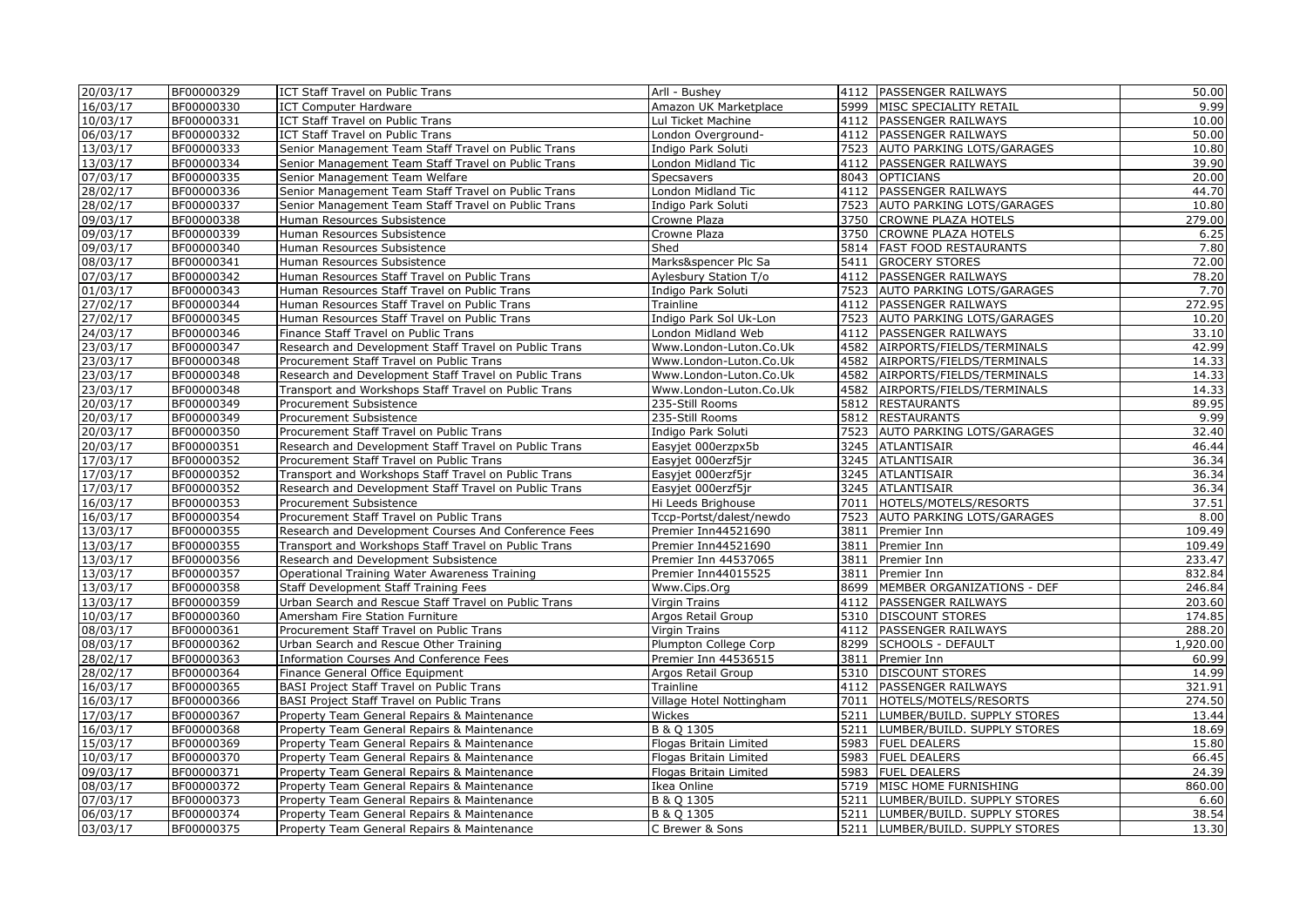| 20/03/17              | BF00000329 | <b>ICT Staff Travel on Public Trans</b>               | Arll - Bushey            |      | 4112 PASSENGER RAILWAYS           | 50.00    |
|-----------------------|------------|-------------------------------------------------------|--------------------------|------|-----------------------------------|----------|
| 16/03/17              | BF00000330 | <b>ICT Computer Hardware</b>                          | Amazon UK Marketplace    |      | 5999 MISC SPECIALITY RETAIL       | 9.99     |
| 10/03/17              | BF00000331 | ICT Staff Travel on Public Trans                      | Lul Ticket Machine       |      | 4112 PASSENGER RAILWAYS           | 10.00    |
| 06/03/17              | BF00000332 | <b>ICT Staff Travel on Public Trans</b>               | London Overground-       |      | 4112 PASSENGER RAILWAYS           | 50.00    |
| 13/03/17              | BF00000333 | Senior Management Team Staff Travel on Public Trans   | Indigo Park Soluti       |      | 7523 AUTO PARKING LOTS/GARAGES    | 10.80    |
| 13/03/17              | BF00000334 | Senior Management Team Staff Travel on Public Trans   | London Midland Tic       | 4112 | <b>PASSENGER RAILWAYS</b>         | 39.90    |
| 07/03/17              | BF00000335 | Senior Management Team Welfare                        | Specsavers               |      | 8043 OPTICIANS                    | 20.00    |
| 28/02/17              | BF00000336 | Senior Management Team Staff Travel on Public Trans   | London Midland Tic       |      | 4112 PASSENGER RAILWAYS           | 44.70    |
| 28/02/17              | BF00000337 | Senior Management Team Staff Travel on Public Trans   | Indigo Park Soluti       |      | 7523 AUTO PARKING LOTS/GARAGES    | 10.80    |
| 09/03/17              | BF00000338 | Human Resources Subsistence                           | Crowne Plaza             |      | 3750 CROWNE PLAZA HOTELS          | 279.00   |
| 09/03/17              | BF00000339 | Human Resources Subsistence                           | Crowne Plaza             |      | 3750 CROWNE PLAZA HOTELS          | 6.25     |
| 09/03/17              | BF00000340 | Human Resources Subsistence                           | Shed                     |      | 5814   FAST FOOD RESTAURANTS      | 7.80     |
| 08/03/17              | BF00000341 | Human Resources Subsistence                           | Marks&spencer Plc Sa     | 5411 | <b>GROCERY STORES</b>             | 72.00    |
| 07/03/17              | BF00000342 | Human Resources Staff Travel on Public Trans          | Aylesbury Station T/o    |      | 4112 PASSENGER RAILWAYS           | 78.20    |
| 01/03/17              | BF00000343 | Human Resources Staff Travel on Public Trans          | Indigo Park Soluti       |      | 7523 AUTO PARKING LOTS/GARAGES    | 7.70     |
| 27/02/17              | BF00000344 | Human Resources Staff Travel on Public Trans          | Trainline                |      | 4112 PASSENGER RAILWAYS           | 272.95   |
| 27/02/17              | BF00000345 | Human Resources Staff Travel on Public Trans          | Indigo Park Sol Uk-Lon   |      | 7523 AUTO PARKING LOTS/GARAGES    | 10.20    |
| 24/03/17              | BF00000346 | Finance Staff Travel on Public Trans                  | London Midland Web       | 4112 | <b>PASSENGER RAILWAYS</b>         | 33.10    |
| 23/03/17              | BF00000347 | Research and Development Staff Travel on Public Trans | Www.London-Luton.Co.Uk   |      | 4582 AIRPORTS/FIELDS/TERMINALS    | 42.99    |
| 23/03/17              | BF00000348 | Procurement Staff Travel on Public Trans              | Www.London-Luton.Co.Uk   |      | 4582 AIRPORTS/FIELDS/TERMINALS    | 14.33    |
| 23/03/17              | BF00000348 | Research and Development Staff Travel on Public Trans | Www.London-Luton.Co.Uk   |      | 4582 AIRPORTS/FIELDS/TERMINALS    | 14.33    |
| 23/03/17              | BF00000348 | Transport and Workshops Staff Travel on Public Trans  | Www.London-Luton.Co.Uk   |      | 4582 AIRPORTS/FIELDS/TERMINALS    | 14.33    |
| $20/03/\overline{17}$ | BF00000349 | Procurement Subsistence                               | 235-Still Rooms          |      | 5812 RESTAURANTS                  | 89.95    |
| 20/03/17              | BF00000349 | Procurement Subsistence                               | 235-Still Rooms          |      | 5812 RESTAURANTS                  | 9.99     |
| 20/03/17              | BF00000350 | Procurement Staff Travel on Public Trans              | Indigo Park Soluti       |      | 7523 AUTO PARKING LOTS/GARAGES    | 32.40    |
| 20/03/17              | BF00000351 | Research and Development Staff Travel on Public Trans | Easyjet 000erzpx5b       |      | 3245 ATLANTISAIR                  | 46.44    |
| 17/03/17              | BF00000352 | Procurement Staff Travel on Public Trans              | Easyjet 000erzf5jr       |      | 3245 ATLANTISAIR                  | 36.34    |
| 17/03/17              | BF00000352 | Transport and Workshops Staff Travel on Public Trans  | Easyjet 000erzf5jr       |      | 3245 ATLANTISAIR                  | 36.34    |
| 17/03/17              | BF00000352 | Research and Development Staff Travel on Public Trans | Easyjet 000erzf5jr       |      | 3245 ATLANTISAIR                  | 36.34    |
| 16/03/17              | BF00000353 | Procurement Subsistence                               | Hi Leeds Brighouse       | 7011 | HOTELS/MOTELS/RESORTS             | 37.51    |
| 16/03/17              | BF00000354 | Procurement Staff Travel on Public Trans              | Tccp-Portst/dalest/newdo | 7523 | <b>AUTO PARKING LOTS/GARAGES</b>  | 8.00     |
| 13/03/17              | BF00000355 | Research and Development Courses And Conference Fees  | Premier Inn44521690      |      | 3811 Premier Inn                  | 109.49   |
| 13/03/17              | BF00000355 | Transport and Workshops Staff Travel on Public Trans  | Premier Inn44521690      | 3811 | Premier Inn                       | 109.49   |
| 13/03/17              | BF00000356 | Research and Development Subsistence                  | Premier Inn 44537065     | 3811 | Premier Inn                       | 233.47   |
| 13/03/17              | BF00000357 | Operational Training Water Awareness Training         | Premier Inn44015525      | 3811 | Premier Inn                       | 832.84   |
| 13/03/17              | BF00000358 | Staff Development Staff Training Fees                 | Www.Cips.Org             |      | 8699   MEMBER ORGANIZATIONS - DEF | 246.84   |
| 13/03/17              | BF00000359 | Urban Search and Rescue Staff Travel on Public Trans  | Virgin Trains            |      | 4112 PASSENGER RAILWAYS           | 203.60   |
| 10/03/17              | BF00000360 | Amersham Fire Station Furniture                       | Argos Retail Group       |      | 5310 DISCOUNT STORES              | 174.85   |
| 08/03/17              | BF00000361 | Procurement Staff Travel on Public Trans              | Virgin Trains            |      | 4112 PASSENGER RAILWAYS           | 288.20   |
| 08/03/17              | BF00000362 | Urban Search and Rescue Other Training                | Plumpton College Corp    |      | 8299 SCHOOLS - DEFAULT            | 1,920.00 |
| 28/02/17              | BF00000363 | <b>Information Courses And Conference Fees</b>        | Premier Inn 44536515     | 3811 | Premier Inn                       | 60.99    |
| 28/02/17              | BF00000364 | Finance General Office Equipment                      | Argos Retail Group       |      | 5310 DISCOUNT STORES              | 14.99    |
| 16/03/17              | BF00000365 | BASI Project Staff Travel on Public Trans             | Trainline                |      | 4112 PASSENGER RAILWAYS           | 321.91   |
| 16/03/17              | BF00000366 | BASI Project Staff Travel on Public Trans             | Village Hotel Nottingham | 7011 | HOTELS/MOTELS/RESORTS             | 274.50   |
| 17/03/17              | BF00000367 | Property Team General Repairs & Maintenance           | Wickes                   | 5211 | LUMBER/BUILD. SUPPLY STORES       | 13.44    |
| 16/03/17              | BF00000368 | Property Team General Repairs & Maintenance           | B & Q 1305               | 5211 | LUMBER/BUILD. SUPPLY STORES       | 18.69    |
| 15/03/17              | BF00000369 | Property Team General Repairs & Maintenance           | Flogas Britain Limited   | 5983 | <b>FUEL DEALERS</b>               | 15.80    |
| 10/03/17              | BF00000370 | Property Team General Repairs & Maintenance           | Flogas Britain Limited   |      | 5983 FUEL DEALERS                 | 66.45    |
| 09/03/17              | BF00000371 | Property Team General Repairs & Maintenance           | Flogas Britain Limited   |      | 5983 FUEL DEALERS                 | 24.39    |
| 08/03/17              | BF00000372 | Property Team General Repairs & Maintenance           | Ikea Online              |      | 5719 MISC HOME FURNISHING         | 860.00   |
| 07/03/17              | BF00000373 | Property Team General Repairs & Maintenance           | B & Q 1305               | 5211 | LUMBER/BUILD. SUPPLY STORES       | 6.60     |
| 06/03/17              | BF00000374 | Property Team General Repairs & Maintenance           | B & Q 1305               |      | 5211 LUMBER/BUILD. SUPPLY STORES  | 38.54    |
| 03/03/17              | BF00000375 | Property Team General Repairs & Maintenance           | C Brewer & Sons          |      | 5211 LUMBER/BUILD. SUPPLY STORES  | 13.30    |